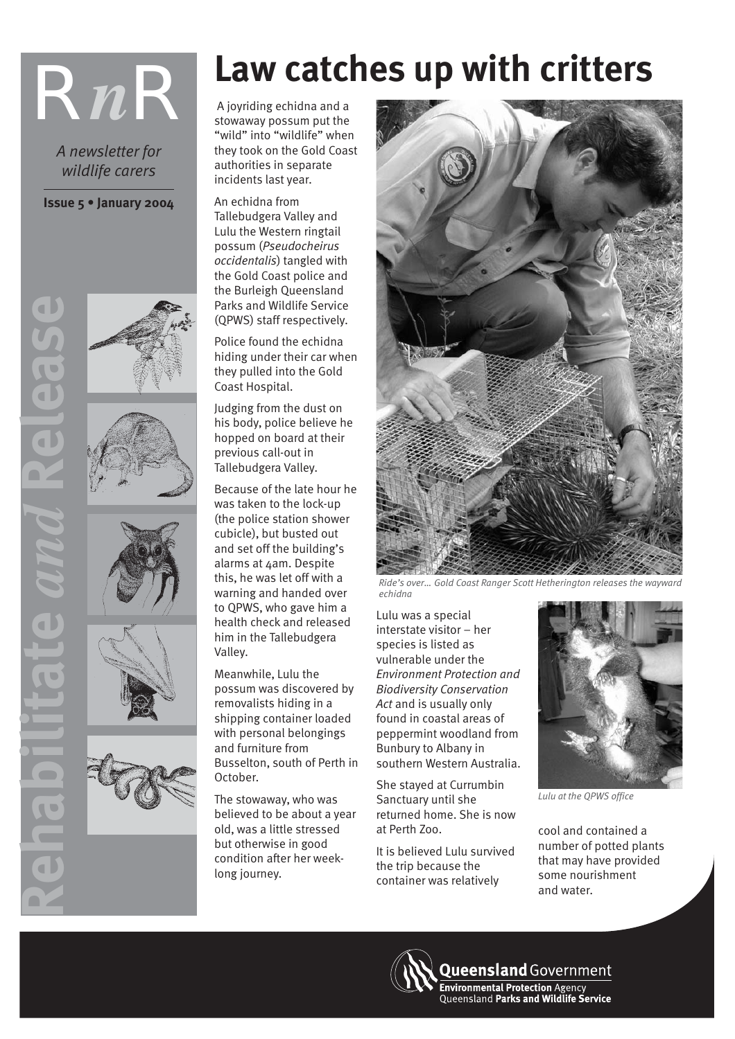*A newsletter for wildlife carers*

**Issue 5 • January 2004**







**Rehabilitate** *and* **Release**





# **RnR R**<br>Alexander School and a strong and a strong and a strong and a strong and a strong and a strong and a strong and a strong and a strong and a strong and a strong and a strong and a strong and a strong and a stron

 A joyriding echidna and a stowaway possum put the "wild" into "wildlife" when they took on the Gold Coast authorities in separate incidents last year.

An echidna from Tallebudgera Valley and Lulu the Western ringtail possum (*Pseudocheirus occidentalis*) tangled with the Gold Coast police and the Burleigh Queensland Parks and Wildlife Service (QPWS) staff respectively.

Police found the echidna hiding under their car when they pulled into the Gold Coast Hospital.

Judging from the dust on his body, police believe he hopped on board at their previous call-out in Tallebudgera Valley.

Because of the late hour he was taken to the lock-up (the police station shower cubicle), but busted out and set off the building's alarms at 4am. Despite this, he was let off with a warning and handed over to QPWS, who gave him a health check and released him in the Tallebudgera Valley.

Meanwhile, Lulu the possum was discovered by removalists hiding in a shipping container loaded with personal belongings and furniture from Busselton, south of Perth in October.

The stowaway, who was believed to be about a year old, was a little stressed but otherwise in good condition after her weeklong journey.



*Ride's over… Gold Coast Ranger Scott Hetherington releases the wayward echidna*

Lulu was a special interstate visitor – her species is listed as vulnerable under the *Environment Protection and Biodiversity Conservation Act* and is usually only found in coastal areas of peppermint woodland from Bunbury to Albany in southern Western Australia.

She stayed at Currumbin Sanctuary until she returned home. She is now at Perth Zoo.

It is believed Lulu survived the trip because the container was relatively



*Lulu at the QPWS office*

cool and contained a number of potted plants that may have provided some nourishment and water.

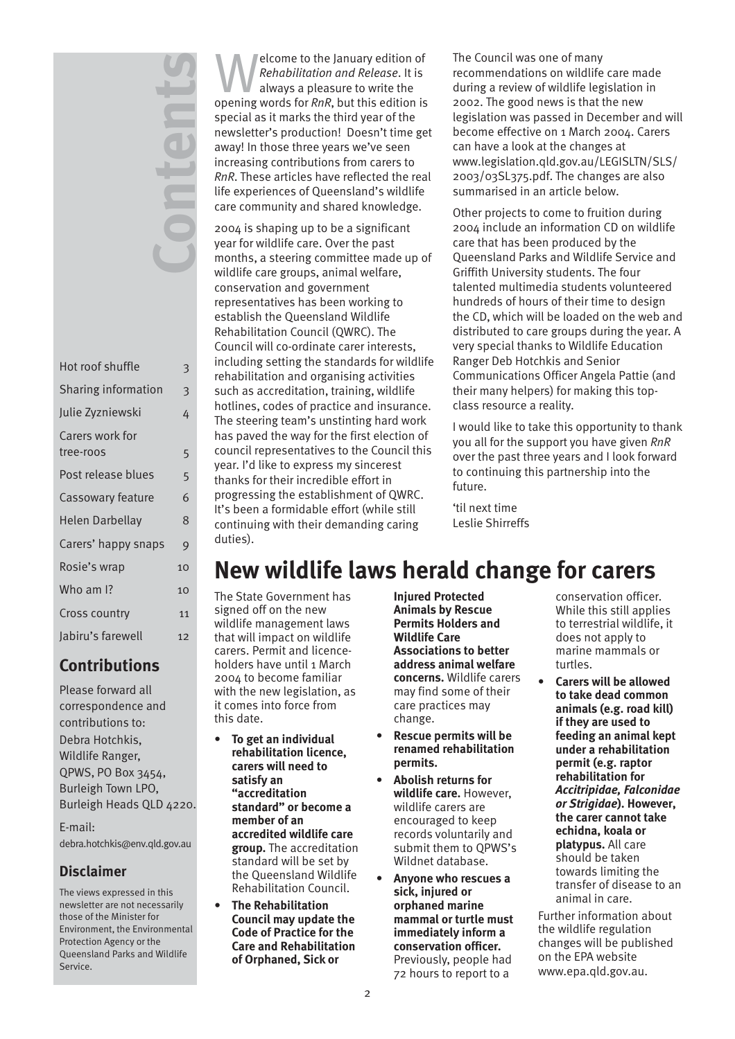| Hot roof shuffle             | 3  |
|------------------------------|----|
| <b>Sharing information</b>   | 3  |
| Julie Zyzniewski             | 4  |
| Carers work for<br>tree-roos | 5  |
| Post release blues           | 5  |
| Cassowary feature            | 6  |
| Helen Darbellay              | 8  |
| Carers' happy snaps          | 9  |
| Rosie's wrap                 | 10 |
| Who am I?                    | 10 |
| Cross country                | 11 |
| labiru's farewell            | 12 |

**Contents**

### **Contributions**

Please forward all correspondence and contributions to: Debra Hotchkis, Wildlife Ranger, QPWS, PO Box 3454, Burleigh Town LPO, Burleigh Heads QLD 4220.

E-mail: debra.hotchkis@env.qld.gov.au

### **Disclaimer**

The views expressed in this newsletter are not necessarily those of the Minister for Environment, the Environmental Protection Agency or the Queensland Parks and Wildlife Service.

Elecome to the January edition of<br>
Rehabilitation and Release. It is<br>
always a pleasure to write the<br>
appening words for PnP, but this edition is *Rehabilitation and Release*. It is opening words for *RnR*, but this edition is special as it marks the third year of the newsletter's production! Doesn't time get away! In those three years we've seen increasing contributions from carers to *RnR*. These articles have reflected the real life experiences of Queensland's wildlife care community and shared knowledge.

2004 is shaping up to be a significant year for wildlife care. Over the past months, a steering committee made up of wildlife care groups, animal welfare, conservation and government representatives has been working to establish the Queensland Wildlife Rehabilitation Council (QWRC). The Council will co-ordinate carer interests, including setting the standards for wildlife rehabilitation and organising activities such as accreditation, training, wildlife hotlines, codes of practice and insurance. The steering team's unstinting hard work has paved the way for the first election of council representatives to the Council this year. I'd like to express my sincerest thanks for their incredible effort in progressing the establishment of QWRC. It's been a formidable effort (while still continuing with their demanding caring duties).

The Council was one of many recommendations on wildlife care made during a review of wildlife legislation in 2002. The good news is that the new legislation was passed in December and will become effective on 1 March 2004. Carers can have a look at the changes at www.legislation.qld.gov.au/LEGISLTN/SLS/ 2003/03SL375.pdf. The changes are also summarised in an article below.

Other projects to come to fruition during 2004 include an information CD on wildlife care that has been produced by the Queensland Parks and Wildlife Service and Griffith University students. The four talented multimedia students volunteered hundreds of hours of their time to design the CD, which will be loaded on the web and distributed to care groups during the year. A very special thanks to Wildlife Education Ranger Deb Hotchkis and Senior Communications Officer Angela Pattie (and their many helpers) for making this topclass resource a reality.

I would like to take this opportunity to thank you all for the support you have given *RnR* over the past three years and I look forward to continuing this partnership into the future.

'til next time Leslie Shirreffs

### **New wildlife laws herald change for carers**

The State Government has signed off on the new wildlife management laws that will impact on wildlife carers. Permit and licenceholders have until 1 March 2004 to become familiar with the new legislation, as it comes into force from this date.

- **To get an individual rehabilitation licence, carers will need to satisfy an "accreditation standard" or become a member of an accredited wildlife care group.** The accreditation standard will be set by the Queensland Wildlife Rehabilitation Council.
- **The Rehabilitation Council may update the Code of Practice for the Care and Rehabilitation of Orphaned, Sick or**

**Injured Protected Animals by Rescue Permits Holders and Wildlife Care Associations to better address animal welfare concerns.** Wildlife carers may find some of their care practices may change.

- **Rescue permits will be renamed rehabilitation permits.**
- **Abolish returns for wildlife care.** However, wildlife carers are encouraged to keep records voluntarily and submit them to QPWS's Wildnet database.
- **Anyone who rescues a sick, injured or orphaned marine mammal or turtle must immediately inform a conservation officer.** Previously, people had 72 hours to report to a

conservation officer. While this still applies to terrestrial wildlife, it does not apply to marine mammals or turtles.

**• Carers will be allowed to take dead common animals (e.g. road kill) if they are used to feeding an animal kept under a rehabilitation permit (e.g. raptor rehabilitation for**  *Accitripidae, Falconidae or Strigidae***). However, the carer cannot take echidna, koala or platypus.** All care should be taken towards limiting the transfer of disease to an animal in care.

Further information about the wildlife regulation changes will be published on the EPA website www.epa.qld.gov.au.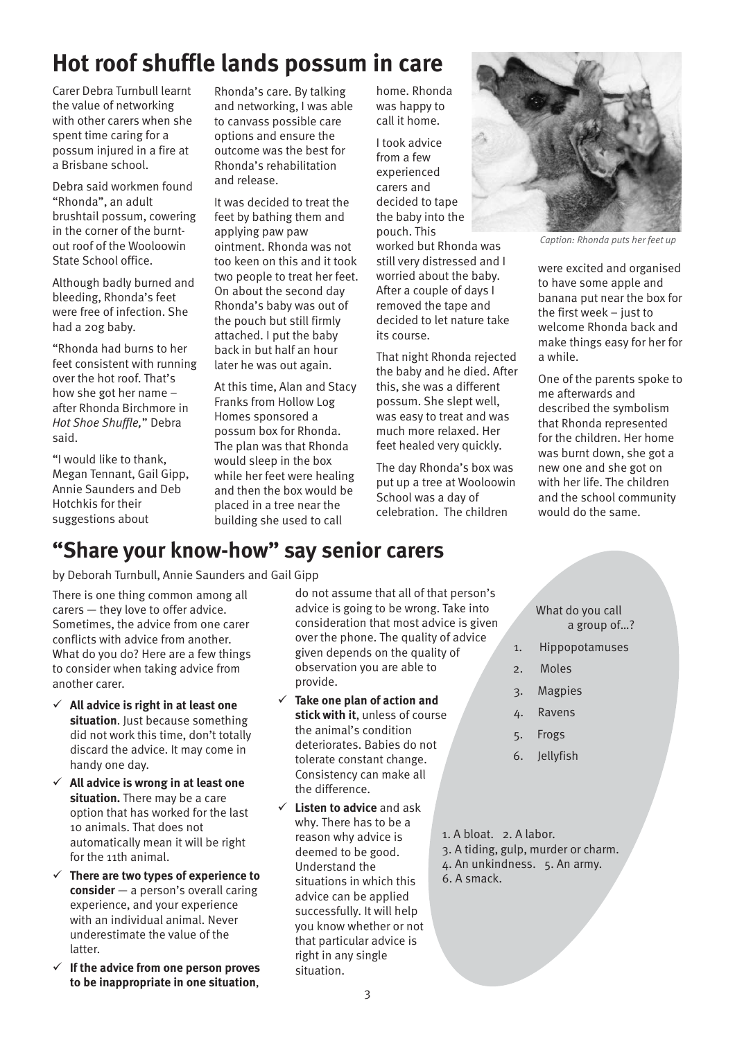# **Hot roof shuffle lands possum in care**

Carer Debra Turnbull learnt the value of networking with other carers when she spent time caring for a possum injured in a fire at a Brisbane school.

Debra said workmen found "Rhonda", an adult brushtail possum, cowering in the corner of the burntout roof of the Wooloowin State School office.

Although badly burned and bleeding, Rhonda's feet were free of infection. She had a 20g baby.

"Rhonda had burns to her feet consistent with running over the hot roof. That's how she got her name – after Rhonda Birchmore in *Hot Shoe Shuffle,*" Debra said.

"I would like to thank, Megan Tennant, Gail Gipp, Annie Saunders and Deb Hotchkis for their suggestions about

Rhonda's care. By talking and networking, I was able to canvass possible care options and ensure the outcome was the best for Rhonda's rehabilitation and release.

It was decided to treat the feet by bathing them and applying paw paw ointment. Rhonda was not too keen on this and it took two people to treat her feet. On about the second day Rhonda's baby was out of the pouch but still firmly attached. I put the baby back in but half an hour later he was out again.

At this time, Alan and Stacy Franks from Hollow Log Homes sponsored a possum box for Rhonda. The plan was that Rhonda would sleep in the box while her feet were healing and then the box would be placed in a tree near the building she used to call

home. Rhonda was happy to call it home.

I took advice from a few experienced carers and decided to tape the baby into the pouch. This worked but Rhonda was still very distressed and I worried about the baby. After a couple of days I removed the tape and decided to let nature take its course.

That night Rhonda rejected the baby and he died. After this, she was a different possum. She slept well, was easy to treat and was much more relaxed. Her feet healed very quickly.

The day Rhonda's box was put up a tree at Wooloowin School was a day of celebration. The children



*Caption: Rhonda puts her feet up*

were excited and organised to have some apple and banana put near the box for the first week – just to welcome Rhonda back and make things easy for her for a while.

One of the parents spoke to me afterwards and described the symbolism that Rhonda represented for the children. Her home was burnt down, she got a new one and she got on with her life. The children and the school community would do the same.

### **"Share your know-how" say senior carers**

by Deborah Turnbull, Annie Saunders and Gail Gipp

There is one thing common among all carers — they love to offer advice. Sometimes, the advice from one carer conflicts with advice from another. What do you do? Here are a few things to consider when taking advice from another carer.

- 9 **All advice is right in at least one situation**. Just because something did not work this time, don't totally discard the advice. It may come in handy one day.
- 9 **All advice is wrong in at least one situation.** There may be a care option that has worked for the last 10 animals. That does not automatically mean it will be right for the 11th animal.
- 9 **There are two types of experience to consider** — a person's overall caring experience, and your experience with an individual animal. Never underestimate the value of the latter.
- 9 **If the advice from one person proves to be inappropriate in one situation**,

do not assume that all of that person's advice is going to be wrong. Take into consideration that most advice is given over the phone. The quality of advice given depends on the quality of observation you are able to provide.

 $\checkmark$  Take one plan of action and **stick with it**, unless of course the animal's condition deteriorates. Babies do not tolerate constant change. Consistency can make all the difference.

9 **Listen to advice** and ask why. There has to be a reason why advice is deemed to be good. Understand the situations in which this advice can be applied successfully. It will help you know whether or not that particular advice is right in any single situation.

What do you call a group of…?

- 1. Hippopotamuses
- 2. Moles
- 3. Magpies
- 4. Ravens
- 5. Frogs
- 6. Jellyfish
- 1. A bloat. 2. A labor.
- 3. A tiding, gulp, murder or charm.
- 4. An unkindness. 5. An army.
- 6. A smack.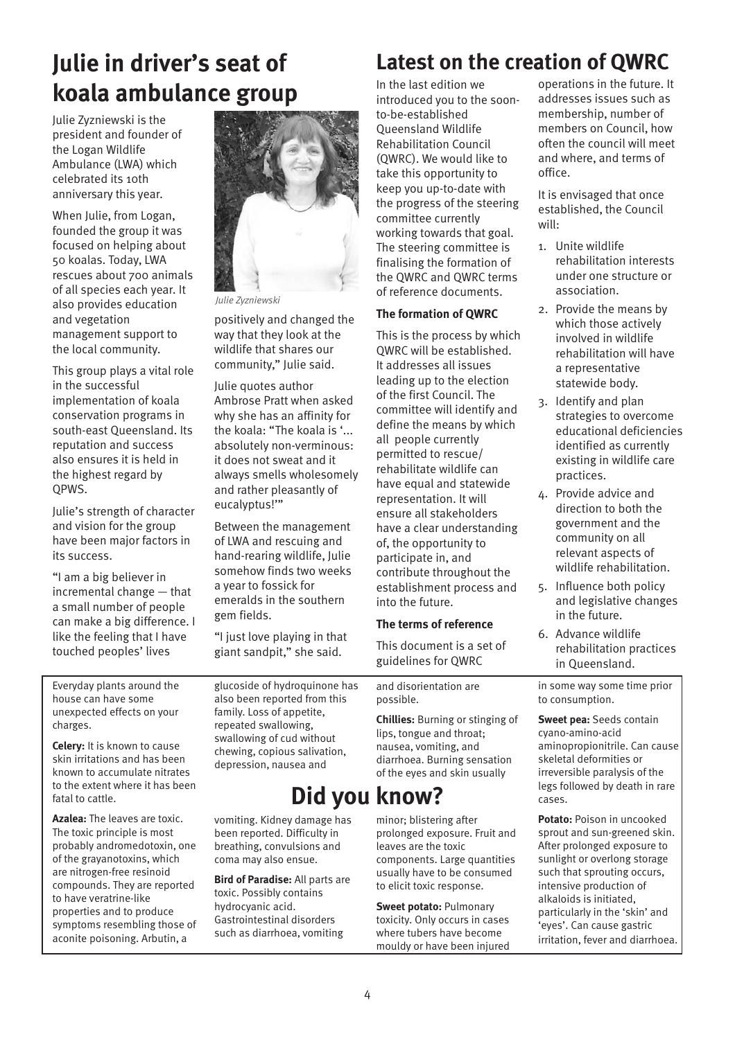## **Julie in driver's seat of koala ambulance group**

Julie Zyzniewski is the president and founder of the Logan Wildlife Ambulance (LWA) which celebrated its 10th anniversary this year.

When Julie, from Logan, founded the group it was focused on helping about 50 koalas. Today, LWA rescues about 700 animals of all species each year. It also provides education and vegetation management support to the local community.

This group plays a vital role in the successful implementation of koala conservation programs in south-east Queensland. Its reputation and success also ensures it is held in the highest regard by QPWS.

Julie's strength of character and vision for the group have been major factors in its success.

"I am a big believer in incremental change — that a small number of people can make a big difference. I like the feeling that I have touched peoples' lives



 *Julie Zyzniewski*

positively and changed the way that they look at the wildlife that shares our community," Julie said.

Julie quotes author Ambrose Pratt when asked why she has an affinity for the koala: "The koala is '... absolutely non-verminous: it does not sweat and it always smells wholesomely and rather pleasantly of eucalyptus!'"

Between the management of LWA and rescuing and hand-rearing wildlife, Julie somehow finds two weeks a year to fossick for emeralds in the southern gem fields.

"I just love playing in that giant sandpit," she said.

Everyday plants around the house can have some unexpected effects on your charges.

**Celery:** It is known to cause skin irritations and has been known to accumulate nitrates to the extent where it has been fatal to cattle.

**Azalea:** The leaves are toxic. The toxic principle is most probably andromedotoxin, one of the grayanotoxins, which are nitrogen-free resinoid compounds. They are reported to have veratrine-like properties and to produce symptoms resembling those of aconite poisoning. Arbutin, a

glucoside of hydroquinone has also been reported from this family. Loss of appetite, repeated swallowing, swallowing of cud without chewing, copious salivation, depression, nausea and

### **Did you know?**

vomiting. Kidney damage has been reported. Difficulty in breathing, convulsions and coma may also ensue.

**Bird of Paradise:** All parts are toxic. Possibly contains hydrocyanic acid. Gastrointestinal disorders such as diarrhoea, vomiting

### **Latest on the creation of QWRC**

In the last edition we introduced you to the soonto-be-established Queensland Wildlife Rehabilitation Council (QWRC). We would like to take this opportunity to keep you up-to-date with the progress of the steering committee currently working towards that goal. The steering committee is finalising the formation of the QWRC and QWRC terms of reference documents.

#### **The formation of QWRC**

This is the process by which QWRC will be established. It addresses all issues leading up to the election of the first Council. The committee will identify and define the means by which all people currently permitted to rescue/ rehabilitate wildlife can have equal and statewide representation. It will ensure all stakeholders have a clear understanding of, the opportunity to participate in, and contribute throughout the establishment process and into the future.

#### **The terms of reference**

This document is a set of guidelines for QWRC

and disorientation are possible.

**Chillies:** Burning or stinging of lips, tongue and throat; nausea, vomiting, and diarrhoea. Burning sensation of the eyes and skin usually

minor; blistering after

prolonged exposure. Fruit and leaves are the toxic components. Large quantities usually have to be consumed to elicit toxic response.

**Sweet potato:** Pulmonary toxicity. Only occurs in cases where tubers have become mouldy or have been injured operations in the future. It addresses issues such as membership, number of members on Council, how often the council will meet and where, and terms of office.

It is envisaged that once established, the Council will:

- 1. Unite wildlife rehabilitation interests under one structure or association.
- 2. Provide the means by which those actively involved in wildlife rehabilitation will have a representative statewide body.
- 3. Identify and plan strategies to overcome educational deficiencies identified as currently existing in wildlife care practices.
- 4. Provide advice and direction to both the government and the community on all relevant aspects of wildlife rehabilitation.
- 5. Influence both policy and legislative changes in the future.
- 6. Advance wildlife rehabilitation practices in Queensland.

in some way some time prior to consumption.

**Sweet pea:** Seeds contain cyano-amino-acid aminopropionitrile. Can cause skeletal deformities or irreversible paralysis of the legs followed by death in rare cases.

**Potato:** Poison in uncooked sprout and sun-greened skin. After prolonged exposure to sunlight or overlong storage such that sprouting occurs, intensive production of alkaloids is initiated, particularly in the 'skin' and 'eyes'. Can cause gastric irritation, fever and diarrhoea.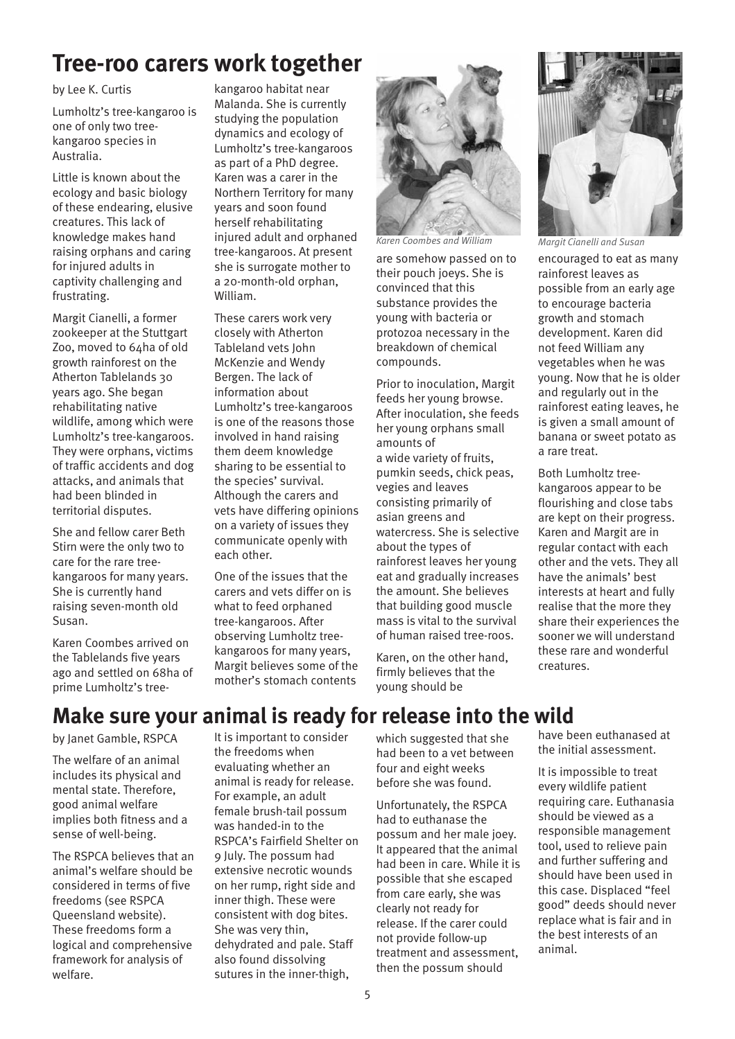### **Tree-roo carers work together**

#### by Lee K. Curtis

Lumholtz's tree-kangaroo is one of only two treekangaroo species in Australia.

Little is known about the ecology and basic biology of these endearing, elusive creatures. This lack of knowledge makes hand raising orphans and caring for injured adults in captivity challenging and frustrating.

Margit Cianelli, a former zookeeper at the Stuttgart Zoo, moved to 64ha of old growth rainforest on the Atherton Tablelands 30 years ago. She began rehabilitating native wildlife, among which were Lumholtz's tree-kangaroos. They were orphans, victims of traffic accidents and dog attacks, and animals that had been blinded in territorial disputes.

She and fellow carer Beth Stirn were the only two to care for the rare treekangaroos for many years. She is currently hand raising seven-month old Susan.

Karen Coombes arrived on the Tablelands five years ago and settled on 68ha of prime Lumholtz's tree-

kangaroo habitat near Malanda. She is currently studying the population dynamics and ecology of Lumholtz's tree-kangaroos as part of a PhD degree. Karen was a carer in the Northern Territory for many years and soon found herself rehabilitating injured adult and orphaned tree-kangaroos. At present she is surrogate mother to a 20-month-old orphan, William.

These carers work very closely with Atherton Tableland vets John McKenzie and Wendy Bergen. The lack of information about Lumholtz's tree-kangaroos is one of the reasons those involved in hand raising them deem knowledge sharing to be essential to the species' survival. Although the carers and vets have differing opinions on a variety of issues they communicate openly with each other.

One of the issues that the carers and vets differ on is what to feed orphaned tree-kangaroos. After observing Lumholtz treekangaroos for many years, Margit believes some of the mother's stomach contents



*Karen Coombes and William Margit Cianelli and Susan*

are somehow passed on to their pouch joeys. She is convinced that this substance provides the young with bacteria or protozoa necessary in the breakdown of chemical compounds.

Prior to inoculation, Margit feeds her young browse. After inoculation, she feeds her young orphans small amounts of a wide variety of fruits, pumkin seeds, chick peas, vegies and leaves consisting primarily of asian greens and watercress. She is selective about the types of rainforest leaves her young eat and gradually increases the amount. She believes that building good muscle mass is vital to the survival of human raised tree-roos.

Karen, on the other hand, firmly believes that the young should be



encouraged to eat as many rainforest leaves as possible from an early age to encourage bacteria growth and stomach development. Karen did not feed William any vegetables when he was young. Now that he is older and regularly out in the rainforest eating leaves, he is given a small amount of banana or sweet potato as a rare treat.

Both Lumholtz treekangaroos appear to be flourishing and close tabs are kept on their progress. Karen and Margit are in regular contact with each other and the vets. They all have the animals' best interests at heart and fully realise that the more they share their experiences the sooner we will understand these rare and wonderful creatures.

### **Make sure your animal is ready for release into the wild**

by Janet Gamble, RSPCA

The welfare of an animal includes its physical and mental state. Therefore, good animal welfare implies both fitness and a sense of well-being.

The RSPCA believes that an animal's welfare should be considered in terms of five freedoms (see RSPCA Queensland website). These freedoms form a logical and comprehensive framework for analysis of welfare.

It is important to consider the freedoms when evaluating whether an animal is ready for release. For example, an adult female brush-tail possum was handed-in to the RSPCA's Fairfield Shelter on 9 July. The possum had extensive necrotic wounds on her rump, right side and inner thigh. These were consistent with dog bites. She was very thin, dehydrated and pale. Staff also found dissolving sutures in the inner-thigh,

which suggested that she had been to a vet between four and eight weeks before she was found.

Unfortunately, the RSPCA had to euthanase the possum and her male joey. It appeared that the animal had been in care. While it is possible that she escaped from care early, she was clearly not ready for release. If the carer could not provide follow-up treatment and assessment, then the possum should

have been euthanased at the initial assessment.

It is impossible to treat every wildlife patient requiring care. Euthanasia should be viewed as a responsible management tool, used to relieve pain and further suffering and should have been used in this case. Displaced "feel good" deeds should never replace what is fair and in the best interests of an animal.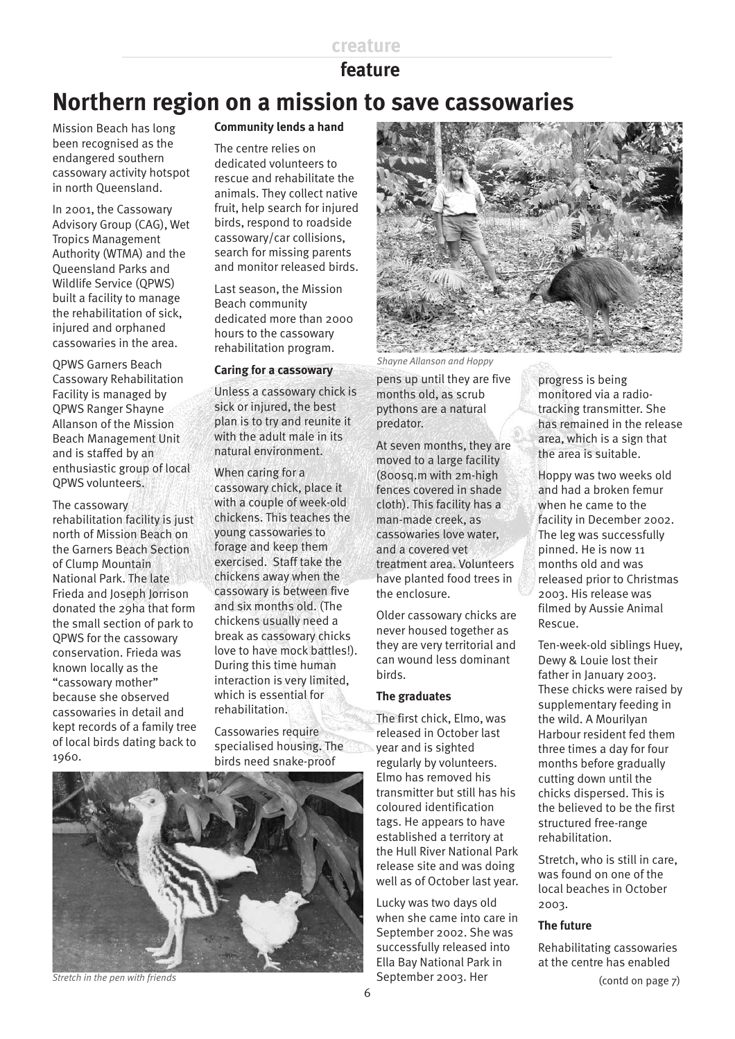#### **creature**

### **feature**

### **Northern region on a mission to save cassowaries**

Mission Beach has long been recognised as the endangered southern cassowary activity hotspot in north Queensland.

In 2001, the Cassowary Advisory Group (CAG), Wet Tropics Management Authority (WTMA) and the Queensland Parks and Wildlife Service (QPWS) built a facility to manage the rehabilitation of sick, injured and orphaned cassowaries in the area.

QPWS Garners Beach Cassowary Rehabilitation Facility is managed by QPWS Ranger Shayne Allanson of the Mission Beach Management Unit and is staffed by an enthusiastic group of local QPWS volunteers.

The cassowary rehabilitation facility is just north of Mission Beach on the Garners Beach Section of Clump Mountain National Park. The late Frieda and Joseph Jorrison donated the 29ha that form the small section of park to QPWS for the cassowary conservation. Frieda was known locally as the "cassowary mother" because she observed cassowaries in detail and kept records of a family tree of local birds dating back to 1960.

#### **Community lends a hand**

The centre relies on dedicated volunteers to rescue and rehabilitate the animals. They collect native fruit, help search for injured birds, respond to roadside cassowary/car collisions, search for missing parents and monitor released birds.

Last season, the Mission Beach community dedicated more than 2000 hours to the cassowary rehabilitation program.

#### **Caring for a cassowary**

Unless a cassowary chick is sick or injured, the best plan is to try and reunite it with the adult male in its natural environment.

When caring for a cassowary chick, place it with a couple of week-old chickens. This teaches the young cassowaries to forage and keep them exercised. Staff take the chickens away when the cassowary is between five and six months old. (The chickens usually need a break as cassowary chicks love to have mock battles!). During this time human interaction is very limited, which is essential for rehabilitation.

Cassowaries require specialised housing. The birds need snake-proof



*Stretch in the pen with friends*



*Shayne Allanson and Hoppy*

pens up until they are five months old, as scrub pythons are a natural predator.

At seven months, they are moved to a large facility (800sq.m with 2m-high fences covered in shade cloth). This facility has a man-made creek, as cassowaries love water, and a covered vet treatment area. Volunteers have planted food trees in the enclosure.

Older cassowary chicks are never housed together as they are very territorial and can wound less dominant birds.

#### **The graduates**

The first chick, Elmo, was released in October last year and is sighted regularly by volunteers. Elmo has removed his transmitter but still has his coloured identification tags. He appears to have established a territory at the Hull River National Park release site and was doing well as of October last year.

Lucky was two days old when she came into care in September 2002. She was successfully released into Ella Bay National Park in September 2003. Her

progress is being monitored via a radiotracking transmitter. She has remained in the release area, which is a sign that the area is suitable.

Hoppy was two weeks old and had a broken femur when he came to the facility in December 2002. The leg was successfully pinned. He is now 11 months old and was released prior to Christmas 2003. His release was filmed by Aussie Animal Rescue.

Ten-week-old siblings Huey, Dewy & Louie lost their father in January 2003. These chicks were raised by supplementary feeding in the wild. A Mourilyan Harbour resident fed them three times a day for four months before gradually cutting down until the chicks dispersed. This is the believed to be the first structured free-range rehabilitation.

Stretch, who is still in care, was found on one of the local beaches in October 2003.

#### **The future**

Rehabilitating cassowaries at the centre has enabled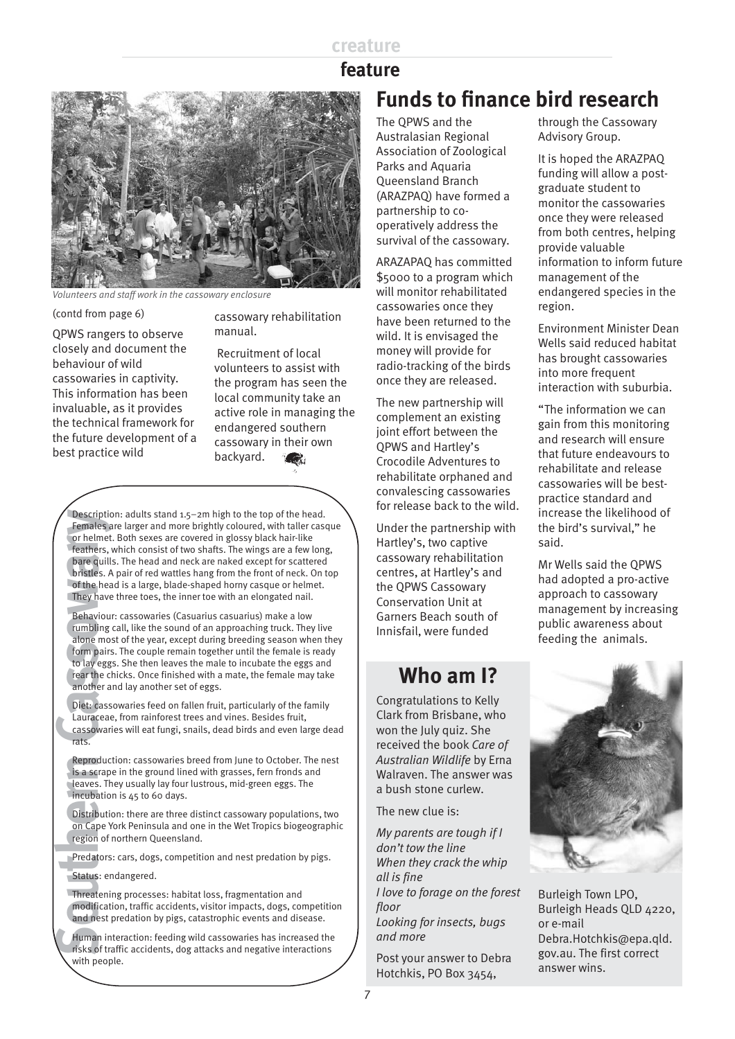#### **creature**

### **Funds to finance bird research feature**



*Volunteers and staff work in the cassowary enclosure*

(contd from page 6)

QPWS rangers to observe closely and document the behaviour of wild cassowaries in captivity. This information has been invaluable, as it provides the technical framework for the future development of a best practice wild

cassowary rehabilitation manual.

 Recruitment of local volunteers to assist with the program has seen the local community take an active role in managing the endangered southern cassowary in their own backyard.

**Fournix** Considers and 1.5–2m high to the top of the head.<br> **Fearlies,** are lowed in glossy black hair-like cases are covered in glossy black hair-like constentents. Which consist of two shafts. The wings are a few long b Females are larger and more brightly coloured, with taller casque or helmet. Both sexes are covered in glossy black hair-like feathers, which consist of two shafts. The wings are a few long, bare quills. The head and neck are naked except for scattered bristles. A pair of red wattles hang from the front of neck. On top of the head is a large, blade-shaped horny casque or helmet. They have three toes, the inner toe with an elongated nail.

Behaviour: cassowaries (Casuarius casuarius) make a low rumbling call, like the sound of an approaching truck. They live alone most of the year, except during breeding season when they form pairs. The couple remain together until the female is ready to lay eggs. She then leaves the male to incubate the eggs and rear the chicks. Once finished with a mate, the female may take another and lay another set of eggs.

Diet: cassowaries feed on fallen fruit, particularly of the family Lauraceae, from rainforest trees and vines. Besides fruit, cassowaries will eat fungi, snails, dead birds and even large dead rats.

Reproduction: cassowaries breed from June to October. The nest is a scrape in the ground lined with grasses, fern fronds and leaves. They usually lay four lustrous, mid-green eggs. The incubation is 45 to 60 days.

Distribution: there are three distinct cassowary populations, two on Cape York Peninsula and one in the Wet Tropics biogeographic region of northern Queensland.

Predators: cars, dogs, competition and nest predation by pigs.

Status: endangered.

Threatening processes: habitat loss, fragmentation and modification, traffic accidents, visitor impacts, dogs, competition and nest predation by pigs, catastrophic events and disease.

Human interaction: feeding wild cassowaries has increased the risks of traffic accidents, dog attacks and negative interactions with people.

The QPWS and the Australasian Regional Association of Zoological Parks and Aquaria Queensland Branch (ARAZPAQ) have formed a partnership to cooperatively address the survival of the cassowary.

ARAZAPAQ has committed \$5000 to a program which will monitor rehabilitated cassowaries once they have been returned to the wild. It is envisaged the money will provide for radio-tracking of the birds once they are released.

The new partnership will complement an existing joint effort between the QPWS and Hartley's Crocodile Adventures to rehabilitate orphaned and convalescing cassowaries for release back to the wild.

Under the partnership with Hartley's, two captive cassowary rehabilitation centres, at Hartley's and the QPWS Cassowary Conservation Unit at Garners Beach south of Innisfail, were funded

### **Who am I?**

Congratulations to Kelly Clark from Brisbane, who won the July quiz. She received the book *Care of Australian Wildlife* by Erna Walraven. The answer was a bush stone curlew.

The new clue is:

*My parents are tough if I don't tow the line When they crack the whip all is fine I love to forage on the forest floor Looking for insects, bugs and more*

Post your answer to Debra Hotchkis, PO Box 3454,

through the Cassowary Advisory Group.

It is hoped the ARAZPAQ funding will allow a postgraduate student to monitor the cassowaries once they were released from both centres, helping provide valuable information to inform future management of the endangered species in the region.

Environment Minister Dean Wells said reduced habitat has brought cassowaries into more frequent interaction with suburbia.

"The information we can gain from this monitoring and research will ensure that future endeavours to rehabilitate and release cassowaries will be bestpractice standard and increase the likelihood of the bird's survival," he said.

Mr Wells said the QPWS had adopted a pro-active approach to cassowary management by increasing public awareness about feeding the animals.



Burleigh Town LPO, Burleigh Heads QLD 4220, or e-mail Debra.Hotchkis@epa.qld. gov.au. The first correct answer wins.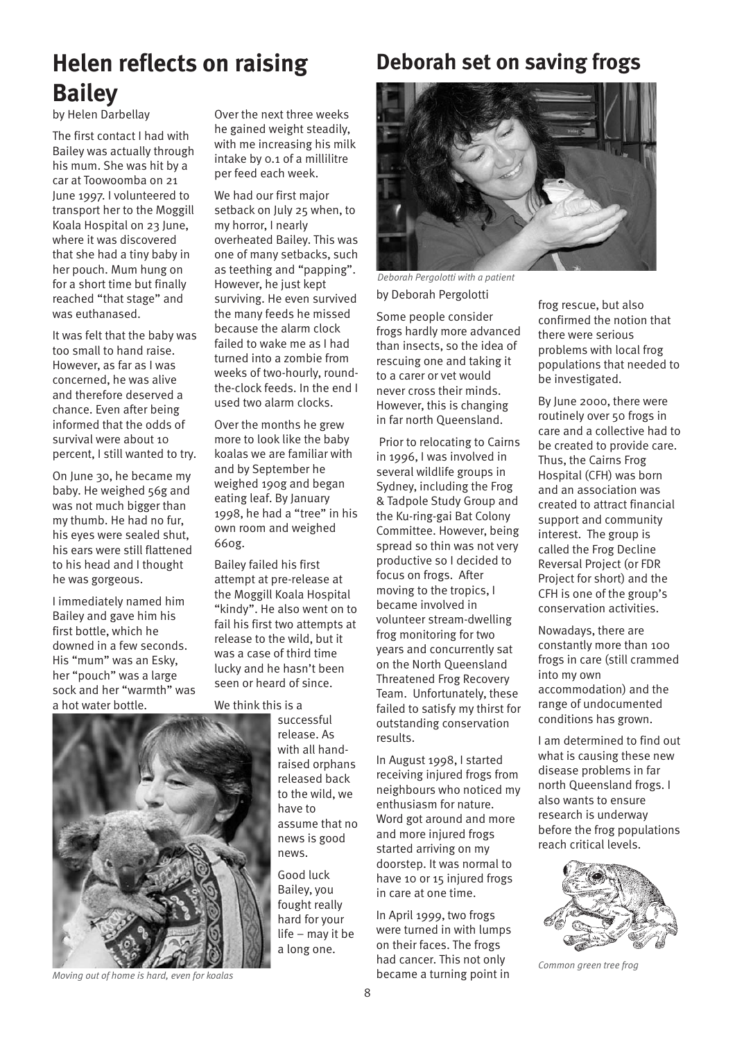# **Helen reflects on raising Bailey**

by Helen Darbellay

The first contact I had with Bailey was actually through his mum. She was hit by a car at Toowoomba on 21 June 1997. I volunteered to transport her to the Moggill Koala Hospital on 23 June, where it was discovered that she had a tiny baby in her pouch. Mum hung on for a short time but finally reached "that stage" and was euthanased.

It was felt that the baby was too small to hand raise. However, as far as I was concerned, he was alive and therefore deserved a chance. Even after being informed that the odds of survival were about 10 percent, I still wanted to try.

On June 30, he became my baby. He weighed 56g and was not much bigger than my thumb. He had no fur, his eyes were sealed shut, his ears were still flattened to his head and I thought he was gorgeous.

I immediately named him Bailey and gave him his first bottle, which he downed in a few seconds. His "mum" was an Esky, her "pouch" was a large sock and her "warmth" was a hot water bottle.



Over the next three weeks he gained weight steadily, with me increasing his milk intake by 0.1 of a millilitre per feed each week.

We had our first major setback on July 25 when, to my horror, I nearly overheated Bailey. This was one of many setbacks, such as teething and "papping". However, he just kept surviving. He even survived the many feeds he missed because the alarm clock failed to wake me as I had turned into a zombie from weeks of two-hourly, roundthe-clock feeds. In the end I used two alarm clocks.

Over the months he grew more to look like the baby koalas we are familiar with and by September he weighed 190g and began eating leaf. By January 1998, he had a "tree" in his own room and weighed 660g.

Bailey failed his first attempt at pre-release at the Moggill Koala Hospital "kindy". He also went on to fail his first two attempts at release to the wild, but it was a case of third time lucky and he hasn't been seen or heard of since.

We think this is a

successful release. As with all handraised orphans released back to the wild, we have to assume that no news is good news.

Good luck Bailey, you fought really hard for your life – may it be a long one.

### **Deborah set on saving frogs**



by Deborah Pergolotti *Deborah Pergolotti with a patient*

Some people consider frogs hardly more advanced than insects, so the idea of rescuing one and taking it to a carer or vet would never cross their minds. However, this is changing in far north Queensland.

 Prior to relocating to Cairns in 1996, I was involved in several wildlife groups in Sydney, including the Frog & Tadpole Study Group and the Ku-ring-gai Bat Colony Committee. However, being spread so thin was not very productive so I decided to focus on frogs. After moving to the tropics, I became involved in volunteer stream-dwelling frog monitoring for two years and concurrently sat on the North Queensland Threatened Frog Recovery Team. Unfortunately, these failed to satisfy my thirst for outstanding conservation results.

In August 1998, I started receiving injured frogs from neighbours who noticed my enthusiasm for nature. Word got around and more and more injured frogs started arriving on my doorstep. It was normal to have 10 or 15 injured frogs in care at one time.

In April 1999, two frogs were turned in with lumps on their faces. The frogs had cancer. This not only became a turning point in

frog rescue, but also confirmed the notion that there were serious problems with local frog populations that needed to be investigated.

By June 2000, there were routinely over 50 frogs in care and a collective had to be created to provide care. Thus, the Cairns Frog Hospital (CFH) was born and an association was created to attract financial support and community interest. The group is called the Frog Decline Reversal Project (or FDR Project for short) and the CFH is one of the group's conservation activities.

Nowadays, there are constantly more than 100 frogs in care (still crammed into my own accommodation) and the range of undocumented conditions has grown.

I am determined to find out what is causing these new disease problems in far north Queensland frogs. I also wants to ensure research is underway before the frog populations reach critical levels.



*Common green tree frog*

*Moving out of home is hard, even for koalas*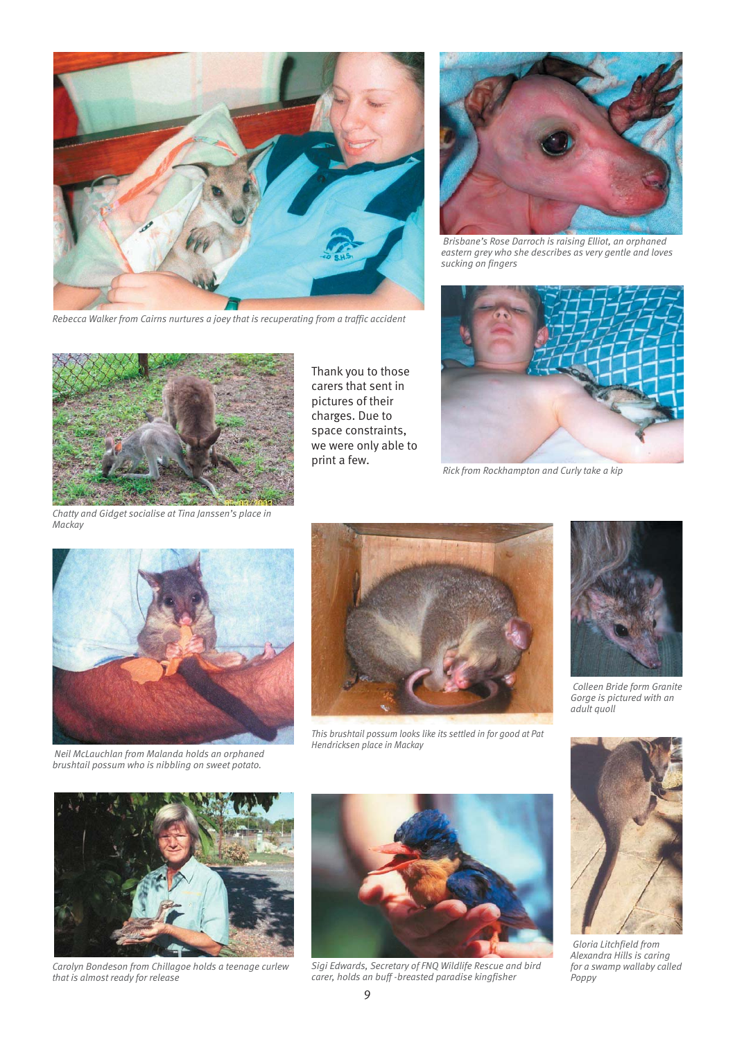

*Rebecca Walker from Cairns nurtures a joey that is recuperating from a traffic accident*



 *Brisbane's Rose Darroch is raising Elliot, an orphaned eastern grey who she describes as very gentle and loves sucking on fingers*



*Chatty and Gidget socialise at Tina Janssen's place in Mackay*

Thank you to those carers that sent in pictures of their charges. Due to space constraints, we were only able to print a few.



*Rick from Rockhampton and Curly take a kip*



 *Neil McLauchlan from Malanda holds an orphaned brushtail possum who is nibbling on sweet potato.*



*This brushtail possum looks like its settled in for good at Pat Hendricksen place in Mackay*



 *Colleen Bride form Granite Gorge is pictured with an adult quoll*



 *Gloria Litchfield from Alexandra Hills is caring for a swamp wallaby called Poppy*



*Carolyn Bondeson from Chillagoe holds a teenage curlew that is almost ready for release*



*Sigi Edwards, Secretary of FNQ Wildlife Rescue and bird carer, holds an buff -breasted paradise kingfisher*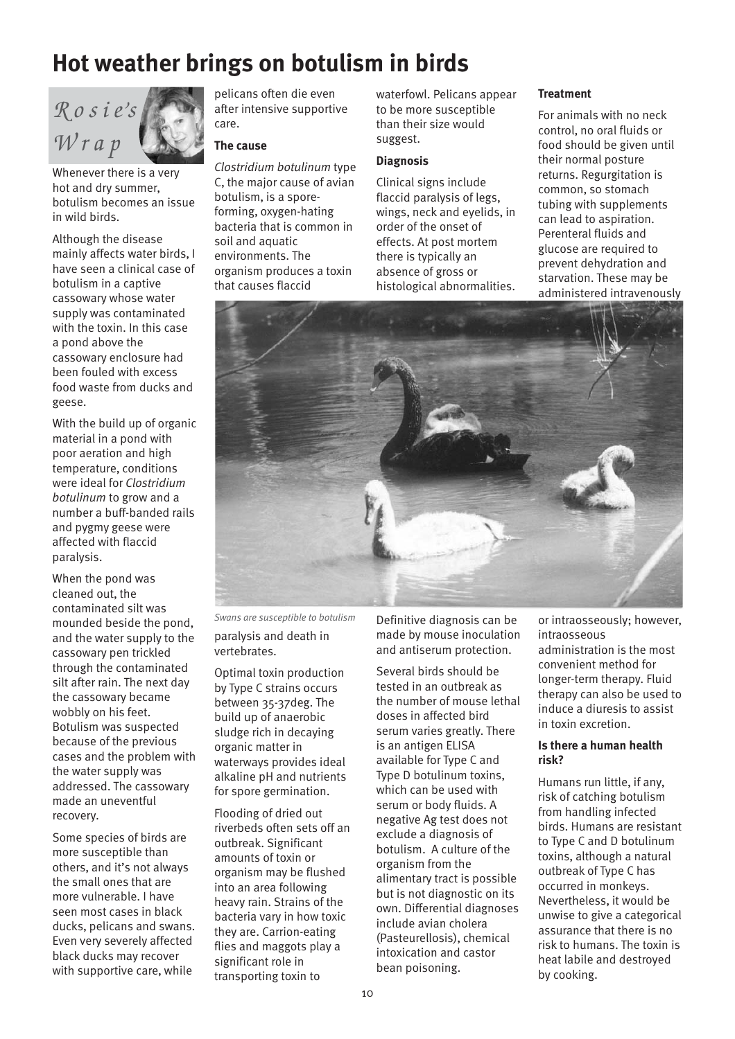# **Hot weather brings on botulism in birds**



Whenever there is a very hot and dry summer, botulism becomes an issue in wild birds.

Although the disease mainly affects water birds, I have seen a clinical case of botulism in a captive cassowary whose water supply was contaminated with the toxin. In this case a pond above the cassowary enclosure had been fouled with excess food waste from ducks and geese.

With the build up of organic material in a pond with poor aeration and high temperature, conditions were ideal for *Clostridium botulinum* to grow and a number a buff-banded rails and pygmy geese were affected with flaccid paralysis.

When the pond was cleaned out, the contaminated silt was mounded beside the pond, and the water supply to the cassowary pen trickled through the contaminated silt after rain. The next day the cassowary became wobbly on his feet. Botulism was suspected because of the previous cases and the problem with the water supply was addressed. The cassowary made an uneventful recovery.

Some species of birds are more susceptible than others, and it's not always the small ones that are more vulnerable. I have seen most cases in black ducks, pelicans and swans. Even very severely affected black ducks may recover with supportive care, while

pelicans often die even after intensive supportive care.

#### **The cause**

*Clostridium botulinum* type C, the major cause of avian botulism, is a sporeforming, oxygen-hating bacteria that is common in soil and aquatic environments. The organism produces a toxin that causes flaccid

waterfowl. Pelicans appear to be more susceptible than their size would suggest.

#### **Diagnosis**

Clinical signs include flaccid paralysis of legs, wings, neck and eyelids, in order of the onset of effects. At post mortem there is typically an absence of gross or histological abnormalities.

#### **Treatment**

For animals with no neck control, no oral fluids or food should be given until their normal posture returns. Regurgitation is common, so stomach tubing with supplements can lead to aspiration. Perenteral fluids and glucose are required to prevent dehydration and starvation. These may be administered intravenously



paralysis and death in vertebrates. *Swans are susceptible to botulism*

Optimal toxin production by Type C strains occurs between 35-37deg. The build up of anaerobic sludge rich in decaying organic matter in waterways provides ideal alkaline pH and nutrients for spore germination.

Flooding of dried out riverbeds often sets off an outbreak. Significant amounts of toxin or organism may be flushed into an area following heavy rain. Strains of the bacteria vary in how toxic they are. Carrion-eating flies and maggots play a significant role in transporting toxin to

Definitive diagnosis can be made by mouse inoculation and antiserum protection.

Several birds should be tested in an outbreak as the number of mouse lethal doses in affected bird serum varies greatly. There is an antigen ELISA available for Type C and Type D botulinum toxins, which can be used with serum or body fluids. A negative Ag test does not exclude a diagnosis of botulism. A culture of the organism from the alimentary tract is possible but is not diagnostic on its own. Differential diagnoses include avian cholera (Pasteurellosis), chemical intoxication and castor bean poisoning.

or intraosseously; however, intraosseous administration is the most convenient method for longer-term therapy. Fluid therapy can also be used to induce a diuresis to assist in toxin excretion.

#### **Is there a human health risk?**

Humans run little, if any, risk of catching botulism from handling infected birds. Humans are resistant to Type C and D botulinum toxins, although a natural outbreak of Type C has occurred in monkeys. Nevertheless, it would be unwise to give a categorical assurance that there is no risk to humans. The toxin is heat labile and destroyed by cooking.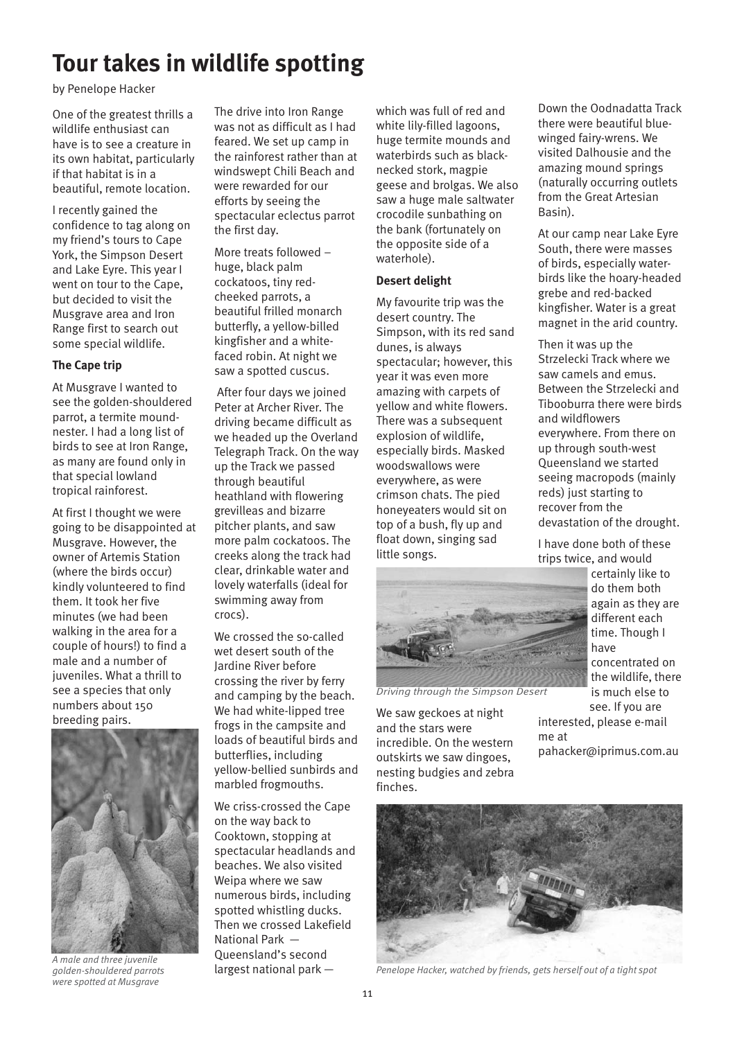### **Tour takes in wildlife spotting**

by Penelope Hacker

One of the greatest thrills a wildlife enthusiast can have is to see a creature in its own habitat, particularly if that habitat is in a beautiful, remote location.

I recently gained the confidence to tag along on my friend's tours to Cape York, the Simpson Desert and Lake Eyre. This year I went on tour to the Cape, but decided to visit the Musgrave area and Iron Range first to search out some special wildlife.

#### **The Cape trip**

At Musgrave I wanted to see the golden-shouldered parrot, a termite moundnester. I had a long list of birds to see at Iron Range, as many are found only in that special lowland tropical rainforest.

At first I thought we were going to be disappointed at Musgrave. However, the owner of Artemis Station (where the birds occur) kindly volunteered to find them. It took her five minutes (we had been walking in the area for a couple of hours!) to find a male and a number of juveniles. What a thrill to see a species that only numbers about 150 breeding pairs.



*A male and three juvenile golden-shouldered parrots were spotted at Musgrave* 

The drive into Iron Range was not as difficult as I had feared. We set up camp in the rainforest rather than at windswept Chili Beach and were rewarded for our efforts by seeing the spectacular eclectus parrot the first day.

More treats followed – huge, black palm cockatoos, tiny redcheeked parrots, a beautiful frilled monarch butterfly, a yellow-billed kingfisher and a whitefaced robin. At night we saw a spotted cuscus.

 After four days we joined Peter at Archer River. The driving became difficult as we headed up the Overland Telegraph Track. On the way up the Track we passed through beautiful heathland with flowering grevilleas and bizarre pitcher plants, and saw more palm cockatoos. The creeks along the track had clear, drinkable water and lovely waterfalls (ideal for swimming away from crocs).

We crossed the so-called wet desert south of the Jardine River before crossing the river by ferry and camping by the beach. We had white-lipped tree frogs in the campsite and loads of beautiful birds and butterflies, including yellow-bellied sunbirds and marbled frogmouths.

We criss-crossed the Cape on the way back to Cooktown, stopping at spectacular headlands and beaches. We also visited Weipa where we saw numerous birds, including spotted whistling ducks. Then we crossed Lakefield National Park — Queensland's second largest national park —

which was full of red and white lily-filled lagoons, huge termite mounds and waterbirds such as blacknecked stork, magpie geese and brolgas. We also saw a huge male saltwater crocodile sunbathing on the bank (fortunately on the opposite side of a waterhole).

#### **Desert delight**

My favourite trip was the desert country. The Simpson, with its red sand dunes, is always spectacular; however, this year it was even more amazing with carpets of yellow and white flowers. There was a subsequent explosion of wildlife, especially birds. Masked woodswallows were everywhere, as were crimson chats. The pied honeyeaters would sit on top of a bush, fly up and float down, singing sad little songs.



*Driving through the Simpson Desert*

We saw geckoes at night and the stars were incredible. On the western outskirts we saw dingoes, nesting budgies and zebra finches.



*Penelope Hacker, watched by friends, gets herself out of a tight spot*

Down the Oodnadatta Track there were beautiful bluewinged fairy-wrens. We visited Dalhousie and the amazing mound springs (naturally occurring outlets from the Great Artesian Basin).

At our camp near Lake Eyre South, there were masses of birds, especially waterbirds like the hoary-headed grebe and red-backed kingfisher. Water is a great magnet in the arid country.

Then it was up the Strzelecki Track where we saw camels and emus. Between the Strzelecki and Tibooburra there were birds and wildflowers everywhere. From there on up through south-west Queensland we started seeing macropods (mainly reds) just starting to recover from the devastation of the drought.

I have done both of these trips twice, and would

> certainly like to do them both again as they are different each time. Though I have concentrated on the wildlife, there is much else to see. If you are

interested, please e-mail me at pahacker@iprimus.com.au